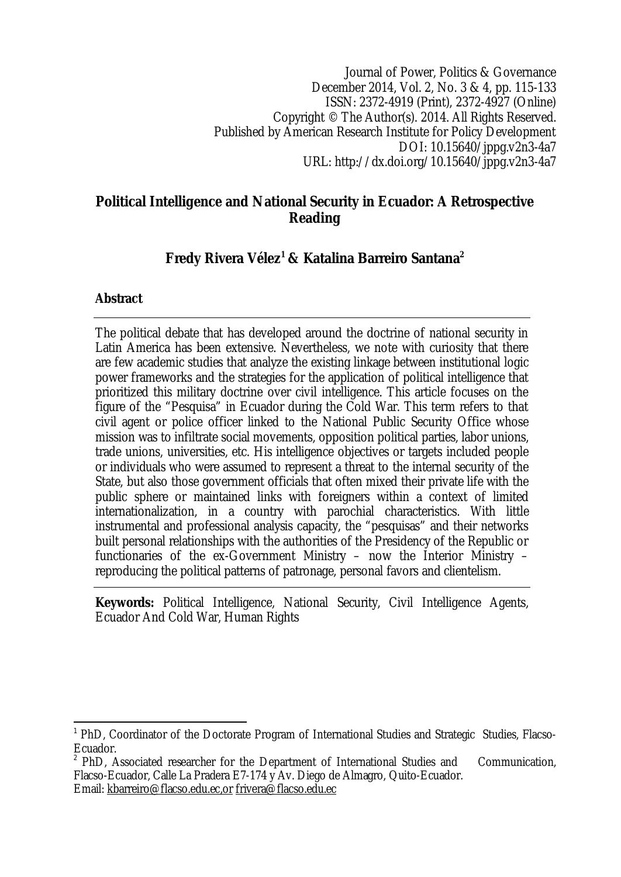Journal of Power, Politics & Governance December 2014, Vol. 2, No. 3 & 4, pp. 115-133 ISSN: 2372-4919 (Print), 2372-4927 (Online) Copyright © The Author(s). 2014. All Rights Reserved. Published by American Research Institute for Policy Development DOI: 10.15640/jppg.v2n3-4a7 URL: http://dx.doi.org/10.15640/jppg.v2n3-4a7

### **Political Intelligence and National Security in Ecuador: A Retrospective Reading**

# **Fredy Rivera Vélez<sup>1</sup> & Katalina Barreiro Santana<sup>2</sup>**

#### **Abstract**

The political debate that has developed around the doctrine of national security in Latin America has been extensive. Nevertheless, we note with curiosity that there are few academic studies that analyze the existing linkage between institutional logic power frameworks and the strategies for the application of political intelligence that prioritized this military doctrine over civil intelligence. This article focuses on the figure of the "Pesquisa" in Ecuador during the Cold War. This term refers to that civil agent or police officer linked to the National Public Security Office whose mission was to infiltrate social movements, opposition political parties, labor unions, trade unions, universities, etc. His intelligence objectives or targets included people or individuals who were assumed to represent a threat to the internal security of the State, but also those government officials that often mixed their private life with the public sphere or maintained links with foreigners within a context of limited internationalization, in a country with parochial characteristics. With little instrumental and professional analysis capacity, the "pesquisas" and their networks built personal relationships with the authorities of the Presidency of the Republic or functionaries of the ex-Government Ministry – now the Interior Ministry – reproducing the political patterns of patronage, personal favors and clientelism.

**Keywords:** Political Intelligence, National Security, Civil Intelligence Agents, Ecuador And Cold War, Human Rights

 $\overline{\phantom{a}}$ <sup>1</sup> PhD, Coordinator of the Doctorate Program of International Studies and Strategic Studies, Flacso-Ecuador.

<sup>&</sup>lt;sup>2</sup> PhD, Associated researcher for the Department of International Studies and Communication, Flacso-Ecuador, Calle La Pradera E7-174 y Av. Diego de Almagro, Quito-Ecuador. Email: kbarreiro@flacso.edu.ec,or frivera@flacso.edu.ec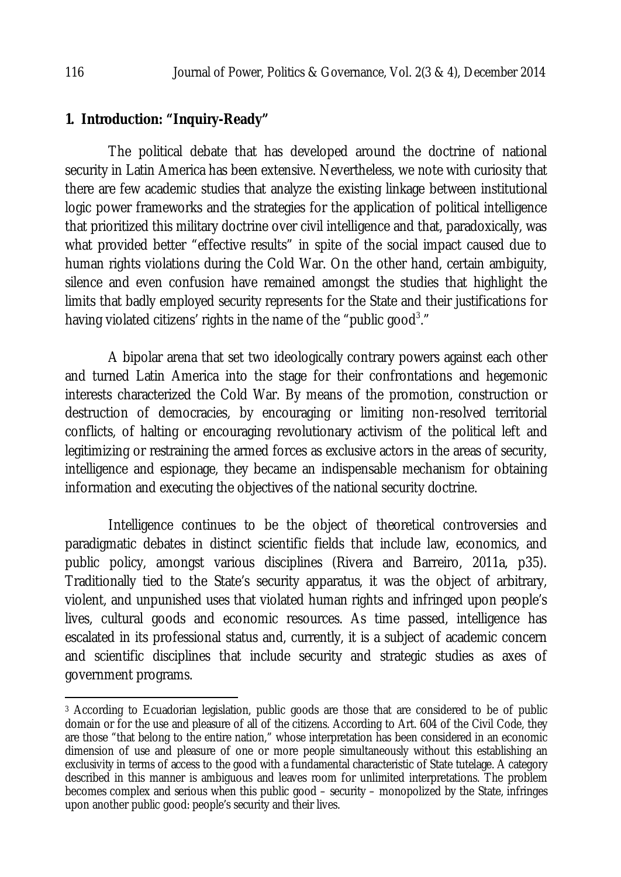### **1. Introduction: "Inquiry-Ready"**

The political debate that has developed around the doctrine of national security in Latin America has been extensive. Nevertheless, we note with curiosity that there are few academic studies that analyze the existing linkage between institutional logic power frameworks and the strategies for the application of political intelligence that prioritized this military doctrine over civil intelligence and that, paradoxically, was what provided better "effective results" in spite of the social impact caused due to human rights violations during the Cold War. On the other hand, certain ambiguity, silence and even confusion have remained amongst the studies that highlight the limits that badly employed security represents for the State and their justifications for having violated citizens' rights in the name of the "public good<sup>3</sup>."

A bipolar arena that set two ideologically contrary powers against each other and turned Latin America into the stage for their confrontations and hegemonic interests characterized the Cold War. By means of the promotion, construction or destruction of democracies, by encouraging or limiting non-resolved territorial conflicts, of halting or encouraging revolutionary activism of the political left and legitimizing or restraining the armed forces as exclusive actors in the areas of security, intelligence and espionage, they became an indispensable mechanism for obtaining information and executing the objectives of the national security doctrine.

Intelligence continues to be the object of theoretical controversies and paradigmatic debates in distinct scientific fields that include law, economics, and public policy, amongst various disciplines (Rivera and Barreiro, 2011a, p35). Traditionally tied to the State's security apparatus, it was the object of arbitrary, violent, and unpunished uses that violated human rights and infringed upon people's lives, cultural goods and economic resources. As time passed, intelligence has escalated in its professional status and, currently, it is a subject of academic concern and scientific disciplines that include security and strategic studies as axes of government programs.

 $\overline{a}$ 

<sup>3</sup> According to Ecuadorian legislation, public goods are those that are considered to be of public domain or for the use and pleasure of all of the citizens. According to Art. 604 of the Civil Code, they are those "that belong to the entire nation," whose interpretation has been considered in an economic dimension of use and pleasure of one or more people simultaneously without this establishing an exclusivity in terms of access to the good with a fundamental characteristic of State tutelage. A category described in this manner is ambiguous and leaves room for unlimited interpretations. The problem becomes complex and serious when this public good – security – monopolized by the State, infringes upon another public good: people's security and their lives.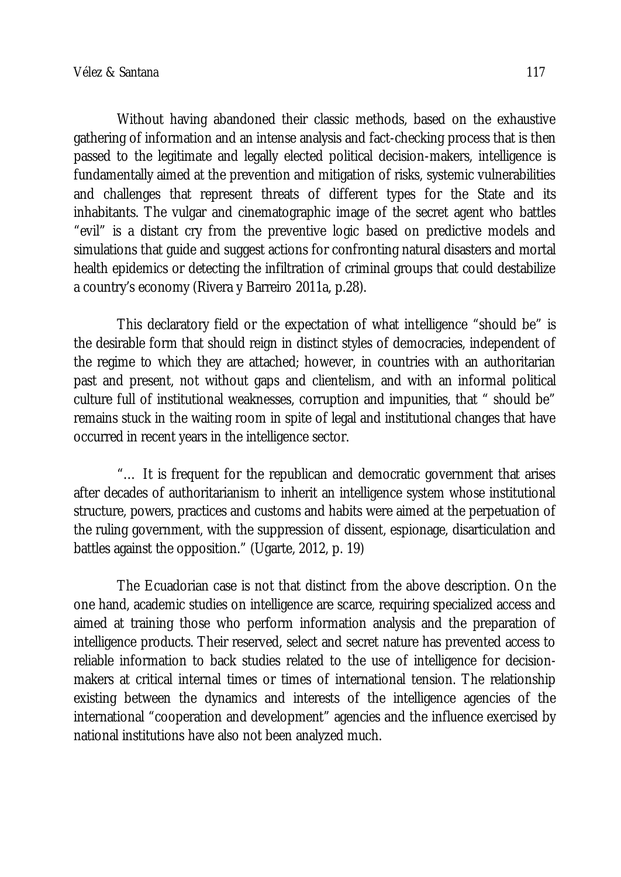Without having abandoned their classic methods, based on the exhaustive gathering of information and an intense analysis and fact-checking process that is then passed to the legitimate and legally elected political decision-makers, intelligence is fundamentally aimed at the prevention and mitigation of risks, systemic vulnerabilities and challenges that represent threats of different types for the State and its inhabitants. The vulgar and cinematographic image of the secret agent who battles "evil" is a distant cry from the preventive logic based on predictive models and simulations that guide and suggest actions for confronting natural disasters and mortal health epidemics or detecting the infiltration of criminal groups that could destabilize a country's economy (Rivera y Barreiro 2011a, p.28).

This declaratory field or the expectation of what intelligence "should be" is the desirable form that should reign in distinct styles of democracies, independent of the regime to which they are attached; however, in countries with an authoritarian past and present, not without gaps and clientelism, and with an informal political culture full of institutional weaknesses, corruption and impunities, that " should be" remains stuck in the waiting room in spite of legal and institutional changes that have occurred in recent years in the intelligence sector.

"… It is frequent for the republican and democratic government that arises after decades of authoritarianism to inherit an intelligence system whose institutional structure, powers, practices and customs and habits were aimed at the perpetuation of the ruling government, with the suppression of dissent, espionage, disarticulation and battles against the opposition." (Ugarte, 2012, p. 19)

The Ecuadorian case is not that distinct from the above description. On the one hand, academic studies on intelligence are scarce, requiring specialized access and aimed at training those who perform information analysis and the preparation of intelligence products. Their reserved, select and secret nature has prevented access to reliable information to back studies related to the use of intelligence for decisionmakers at critical internal times or times of international tension. The relationship existing between the dynamics and interests of the intelligence agencies of the international "cooperation and development" agencies and the influence exercised by national institutions have also not been analyzed much.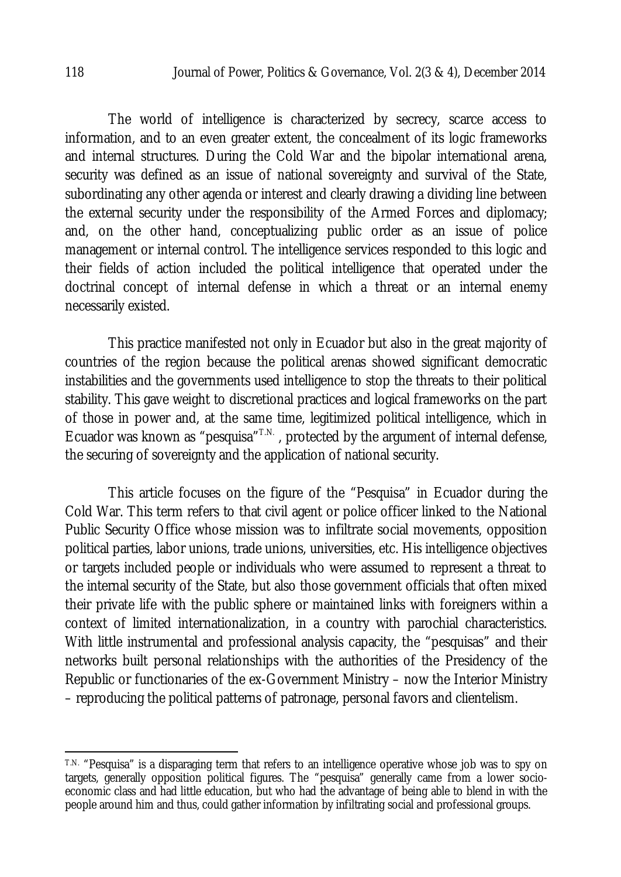The world of intelligence is characterized by secrecy, scarce access to information, and to an even greater extent, the concealment of its logic frameworks and internal structures. During the Cold War and the bipolar international arena, security was defined as an issue of national sovereignty and survival of the State, subordinating any other agenda or interest and clearly drawing a dividing line between the external security under the responsibility of the Armed Forces and diplomacy; and, on the other hand, conceptualizing public order as an issue of police management or internal control. The intelligence services responded to this logic and their fields of action included the political intelligence that operated under the doctrinal concept of internal defense in which a threat or an internal enemy necessarily existed.

This practice manifested not only in Ecuador but also in the great majority of countries of the region because the political arenas showed significant democratic instabilities and the governments used intelligence to stop the threats to their political stability. This gave weight to discretional practices and logical frameworks on the part of those in power and, at the same time, legitimized political intelligence, which in Ecuador was known as "pesquisa"<sup>T.N.</sup>, protected by the argument of internal defense, the securing of sovereignty and the application of national security.

This article focuses on the figure of the "Pesquisa" in Ecuador during the Cold War. This term refers to that civil agent or police officer linked to the National Public Security Office whose mission was to infiltrate social movements, opposition political parties, labor unions, trade unions, universities, etc. His intelligence objectives or targets included people or individuals who were assumed to represent a threat to the internal security of the State, but also those government officials that often mixed their private life with the public sphere or maintained links with foreigners within a context of limited internationalization, in a country with parochial characteristics. With little instrumental and professional analysis capacity, the "pesquisas" and their networks built personal relationships with the authorities of the Presidency of the Republic or functionaries of the ex-Government Ministry – now the Interior Ministry – reproducing the political patterns of patronage, personal favors and clientelism.

 $\overline{\phantom{a}}$ 

T.N. "Pesquisa" is a disparaging term that refers to an intelligence operative whose job was to spy on targets, generally opposition political figures. The "pesquisa" generally came from a lower socioeconomic class and had little education, but who had the advantage of being able to blend in with the people around him and thus, could gather information by infiltrating social and professional groups.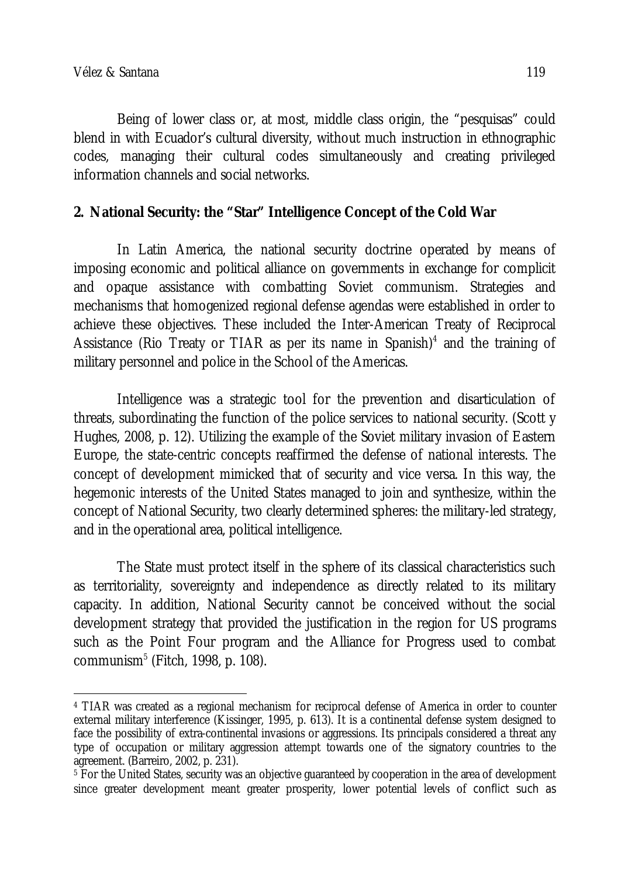Being of lower class or, at most, middle class origin, the "pesquisas" could blend in with Ecuador's cultural diversity, without much instruction in ethnographic codes, managing their cultural codes simultaneously and creating privileged information channels and social networks.

## **2. National Security: the "Star" Intelligence Concept of the Cold War**

In Latin America, the national security doctrine operated by means of imposing economic and political alliance on governments in exchange for complicit and opaque assistance with combatting Soviet communism. Strategies and mechanisms that homogenized regional defense agendas were established in order to achieve these objectives. These included the Inter-American Treaty of Reciprocal Assistance (Rio Treaty or TIAR as per its name in Spanish) $<sup>4</sup>$  and the training of</sup> military personnel and police in the School of the Americas.

Intelligence was a strategic tool for the prevention and disarticulation of threats, subordinating the function of the police services to national security. (Scott y Hughes, 2008, p. 12). Utilizing the example of the Soviet military invasion of Eastern Europe, the state-centric concepts reaffirmed the defense of national interests. The concept of development mimicked that of security and vice versa. In this way, the hegemonic interests of the United States managed to join and synthesize, within the concept of National Security, two clearly determined spheres: the military-led strategy, and in the operational area, political intelligence.

The State must protect itself in the sphere of its classical characteristics such as territoriality, sovereignty and independence as directly related to its military capacity. In addition, National Security cannot be conceived without the social development strategy that provided the justification in the region for US programs such as the Point Four program and the Alliance for Progress used to combat communism $^5$  (Fitch, 1998, p. 108).

 $\overline{a}$ <sup>4</sup> TIAR was created as a regional mechanism for reciprocal defense of America in order to counter external military interference (Kissinger, 1995, p. 613). It is a continental defense system designed to face the possibility of extra-continental invasions or aggressions. Its principals considered a threat any type of occupation or military aggression attempt towards one of the signatory countries to the agreement. (Barreiro, 2002, p. 231).

<sup>5</sup> For the United States, security was an objective guaranteed by cooperation in the area of development since greater development meant greater prosperity, lower potential levels of conflict such as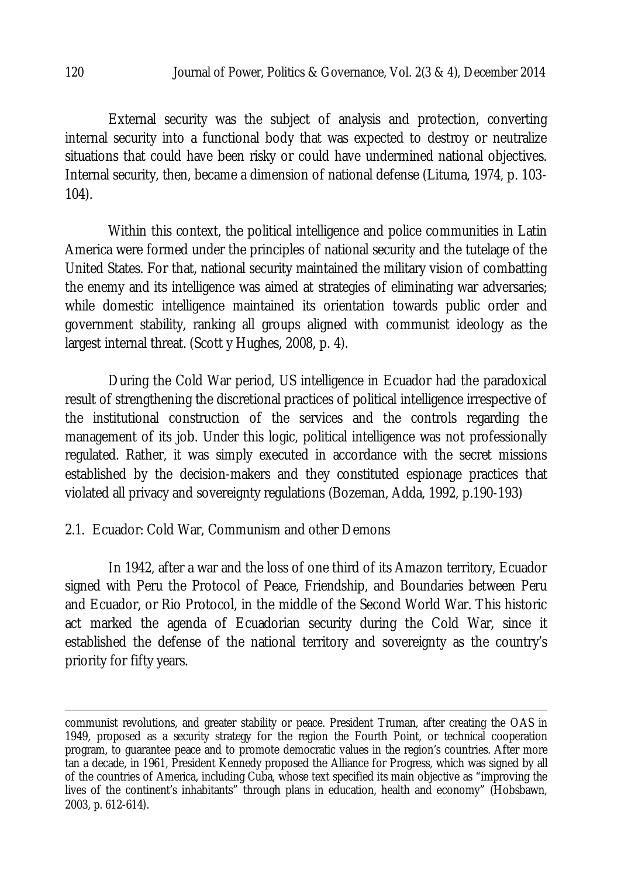External security was the subject of analysis and protection, converting internal security into a functional body that was expected to destroy or neutralize situations that could have been risky or could have undermined national objectives. Internal security, then, became a dimension of national defense (Lituma, 1974, p. 103- 104).

Within this context, the political intelligence and police communities in Latin America were formed under the principles of national security and the tutelage of the United States. For that, national security maintained the military vision of combatting the enemy and its intelligence was aimed at strategies of eliminating war adversaries; while domestic intelligence maintained its orientation towards public order and government stability, ranking all groups aligned with communist ideology as the largest internal threat. (Scott y Hughes, 2008, p. 4).

During the Cold War period, US intelligence in Ecuador had the paradoxical result of strengthening the discretional practices of political intelligence irrespective of the institutional construction of the services and the controls regarding the management of its job. Under this logic, political intelligence was not professionally regulated. Rather, it was simply executed in accordance with the secret missions established by the decision-makers and they constituted espionage practices that violated all privacy and sovereignty regulations (Bozeman, Adda, 1992, p.190-193)

## 2.1. Ecuador: Cold War, Communism and other Demons

In 1942, after a war and the loss of one third of its Amazon territory, Ecuador signed with Peru the Protocol of Peace, Friendship, and Boundaries between Peru and Ecuador, or Rio Protocol, in the middle of the Second World War. This historic act marked the agenda of Ecuadorian security during the Cold War, since it established the defense of the national territory and sovereignty as the country's priority for fifty years.

 $\overline{\phantom{a}}$ 

communist revolutions, and greater stability or peace. President Truman, after creating the OAS in 1949, proposed as a security strategy for the region the Fourth Point, or technical cooperation program, to guarantee peace and to promote democratic values in the region's countries. After more tan a decade, in 1961, President Kennedy proposed the Alliance for Progress, which was signed by all of the countries of America, including Cuba, whose text specified its main objective as "improving the lives of the continent's inhabitants" through plans in education, health and economy" (Hobsbawn, 2003, p. 612-614).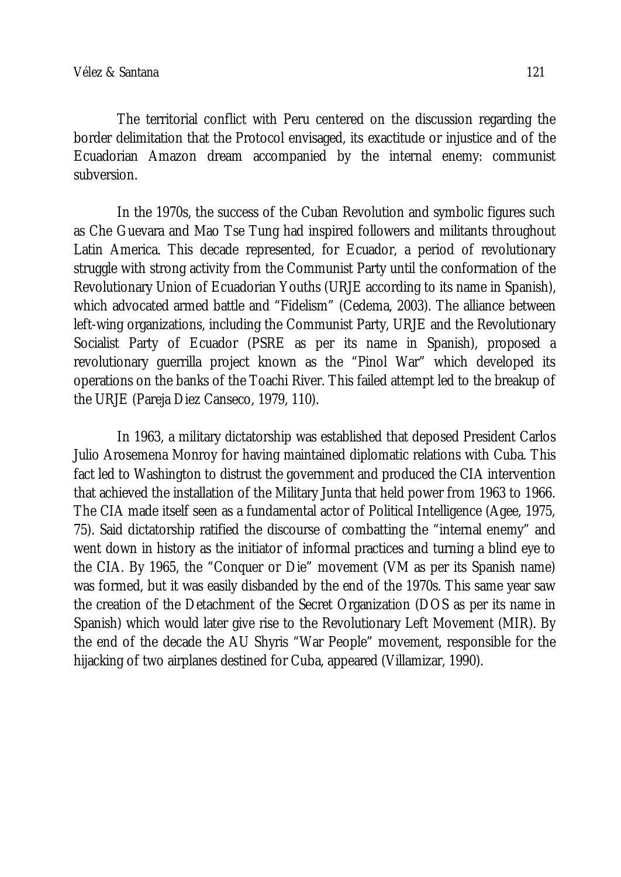The territorial conflict with Peru centered on the discussion regarding the border delimitation that the Protocol envisaged, its exactitude or injustice and of the Ecuadorian Amazon dream accompanied by the internal enemy: communist subversion.

In the 1970s, the success of the Cuban Revolution and symbolic figures such as Che Guevara and Mao Tse Tung had inspired followers and militants throughout Latin America. This decade represented, for Ecuador, a period of revolutionary struggle with strong activity from the Communist Party until the conformation of the Revolutionary Union of Ecuadorian Youths (URJE according to its name in Spanish), which advocated armed battle and "Fidelism" (Cedema, 2003). The alliance between left-wing organizations, including the Communist Party, URJE and the Revolutionary Socialist Party of Ecuador (PSRE as per its name in Spanish), proposed a revolutionary guerrilla project known as the "Pinol War" which developed its operations on the banks of the Toachi River. This failed attempt led to the breakup of the URJE (Pareja Diez Canseco, 1979, 110).

In 1963, a military dictatorship was established that deposed President Carlos Julio Arosemena Monroy for having maintained diplomatic relations with Cuba. This fact led to Washington to distrust the government and produced the CIA intervention that achieved the installation of the Military Junta that held power from 1963 to 1966. The CIA made itself seen as a fundamental actor of Political Intelligence (Agee, 1975, 75). Said dictatorship ratified the discourse of combatting the "internal enemy" and went down in history as the initiator of informal practices and turning a blind eye to the CIA. By 1965, the "Conquer or Die" movement (VM as per its Spanish name) was formed, but it was easily disbanded by the end of the 1970s. This same year saw the creation of the Detachment of the Secret Organization (DOS as per its name in Spanish) which would later give rise to the Revolutionary Left Movement (MIR). By the end of the decade the AU Shyris "War People" movement, responsible for the hijacking of two airplanes destined for Cuba, appeared (Villamizar, 1990).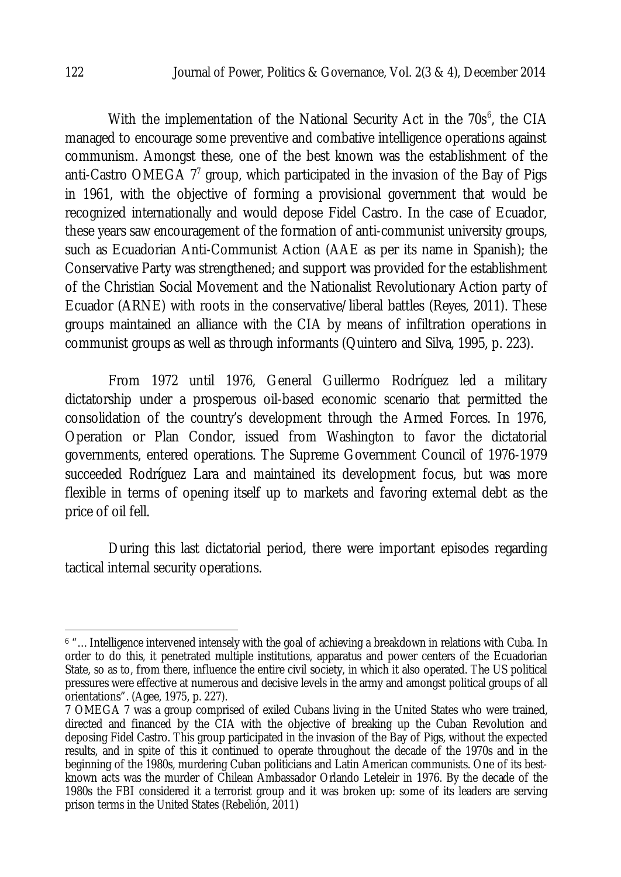With the implementation of the National Security Act in the 70s $^6$ , the CIA managed to encourage some preventive and combative intelligence operations against communism. Amongst these, one of the best known was the establishment of the anti-Castro OMEGA  $7^7$  group, which participated in the invasion of the Bay of Pigs in 1961, with the objective of forming a provisional government that would be recognized internationally and would depose Fidel Castro. In the case of Ecuador, these years saw encouragement of the formation of anti-communist university groups, such as Ecuadorian Anti-Communist Action (AAE as per its name in Spanish); the Conservative Party was strengthened; and support was provided for the establishment of the Christian Social Movement and the Nationalist Revolutionary Action party of Ecuador (ARNE) with roots in the conservative/liberal battles (Reyes, 2011). These groups maintained an alliance with the CIA by means of infiltration operations in communist groups as well as through informants (Quintero and Silva, 1995, p. 223).

From 1972 until 1976, General Guillermo Rodríguez led a military dictatorship under a prosperous oil-based economic scenario that permitted the consolidation of the country's development through the Armed Forces. In 1976, Operation or Plan Condor, issued from Washington to favor the dictatorial governments, entered operations. The Supreme Government Council of 1976-1979 succeeded Rodríguez Lara and maintained its development focus, but was more flexible in terms of opening itself up to markets and favoring external debt as the price of oil fell.

During this last dictatorial period, there were important episodes regarding tactical internal security operations.

 $\overline{a}$ <sup>6</sup> "…Intelligence intervened intensely with the goal of achieving a breakdown in relations with Cuba. In order to do this, it penetrated multiple institutions, apparatus and power centers of the Ecuadorian State, so as to, from there, influence the entire civil society, in which it also operated. The US political pressures were effective at numerous and decisive levels in the army and amongst political groups of all orientations". (Agee, 1975, p. 227).

<sup>7</sup> OMEGA 7 was a group comprised of exiled Cubans living in the United States who were trained, directed and financed by the CIA with the objective of breaking up the Cuban Revolution and deposing Fidel Castro. This group participated in the invasion of the Bay of Pigs, without the expected results, and in spite of this it continued to operate throughout the decade of the 1970s and in the beginning of the 1980s, murdering Cuban politicians and Latin American communists. One of its bestknown acts was the murder of Chilean Ambassador Orlando Leteleir in 1976. By the decade of the 1980s the FBI considered it a terrorist group and it was broken up: some of its leaders are serving prison terms in the United States (Rebelión, 2011)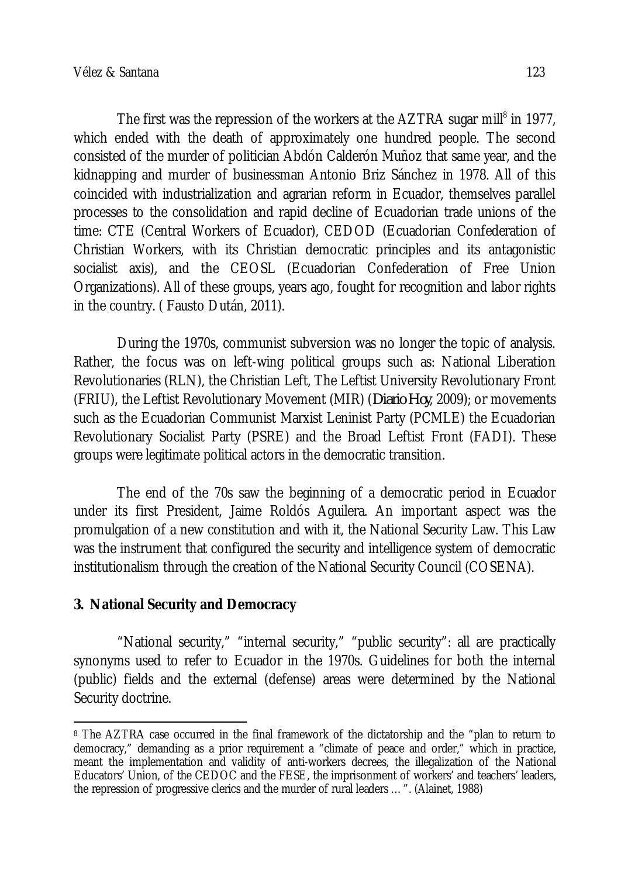The first was the repression of the workers at the AZTRA sugar mill $^8$  in 1977, which ended with the death of approximately one hundred people. The second consisted of the murder of politician Abdón Calderón Muñoz that same year, and the kidnapping and murder of businessman Antonio Briz Sánchez in 1978. All of this coincided with industrialization and agrarian reform in Ecuador, themselves parallel processes to the consolidation and rapid decline of Ecuadorian trade unions of the time: CTE (Central Workers of Ecuador), CEDOD (Ecuadorian Confederation of Christian Workers, with its Christian democratic principles and its antagonistic socialist axis), and the CEOSL (Ecuadorian Confederation of Free Union Organizations). All of these groups, years ago, fought for recognition and labor rights in the country. ( Fausto Dután, 2011).

During the 1970s, communist subversion was no longer the topic of analysis. Rather, the focus was on left-wing political groups such as: National Liberation Revolutionaries (RLN), the Christian Left, The Leftist University Revolutionary Front (FRIU), the Leftist Revolutionary Movement (MIR) (*Diario Hoy*, 2009); or movements such as the Ecuadorian Communist Marxist Leninist Party (PCMLE) the Ecuadorian Revolutionary Socialist Party (PSRE) and the Broad Leftist Front (FADI). These groups were legitimate political actors in the democratic transition.

The end of the 70s saw the beginning of a democratic period in Ecuador under its first President, Jaime Roldós Aguilera. An important aspect was the promulgation of a new constitution and with it, the National Security Law. This Law was the instrument that configured the security and intelligence system of democratic institutionalism through the creation of the National Security Council (COSENA).

### **3. National Security and Democracy**

"National security," "internal security," "public security": all are practically synonyms used to refer to Ecuador in the 1970s. Guidelines for both the internal (public) fields and the external (defense) areas were determined by the National Security doctrine.

 $\overline{\phantom{a}}$ <sup>8</sup> The AZTRA case occurred in the final framework of the dictatorship and the "plan to return to democracy," demanding as a prior requirement a "climate of peace and order," which in practice, meant the implementation and validity of anti-workers decrees, the illegalization of the National Educators' Union, of the CEDOC and the FESE, the imprisonment of workers' and teachers' leaders, the repression of progressive clerics and the murder of rural leaders …". (Alainet, 1988)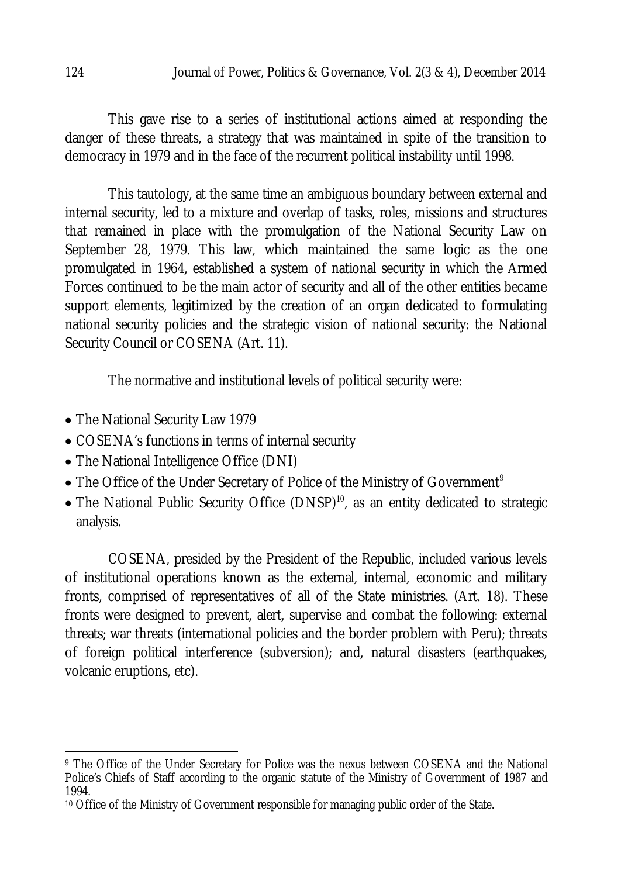This gave rise to a series of institutional actions aimed at responding the danger of these threats, a strategy that was maintained in spite of the transition to democracy in 1979 and in the face of the recurrent political instability until 1998.

This tautology, at the same time an ambiguous boundary between external and internal security, led to a mixture and overlap of tasks, roles, missions and structures that remained in place with the promulgation of the National Security Law on September 28, 1979. This law, which maintained the same logic as the one promulgated in 1964, established a system of national security in which the Armed Forces continued to be the main actor of security and all of the other entities became support elements, legitimized by the creation of an organ dedicated to formulating national security policies and the strategic vision of national security: the National Security Council or COSENA (Art. 11).

The normative and institutional levels of political security were:

- The National Security Law 1979
- COSENA's functions in terms of internal security
- The National Intelligence Office (DNI)
- The Office of the Under Secretary of Police of the Ministry of Government<sup>9</sup>
- The National Public Security Office (DNSP)<sup>10</sup>, as an entity dedicated to strategic analysis.

COSENA, presided by the President of the Republic, included various levels of institutional operations known as the external, internal, economic and military fronts, comprised of representatives of all of the State ministries. (Art. 18). These fronts were designed to prevent, alert, supervise and combat the following: external threats; war threats (international policies and the border problem with Peru); threats of foreign political interference (subversion); and, natural disasters (earthquakes, volcanic eruptions, etc).

 $\overline{\phantom{a}}$ <sup>9</sup> The Office of the Under Secretary for Police was the nexus between COSENA and the National Police's Chiefs of Staff according to the organic statute of the Ministry of Government of 1987 and 1994.

<sup>&</sup>lt;sup>10</sup> Office of the Ministry of Government responsible for managing public order of the State.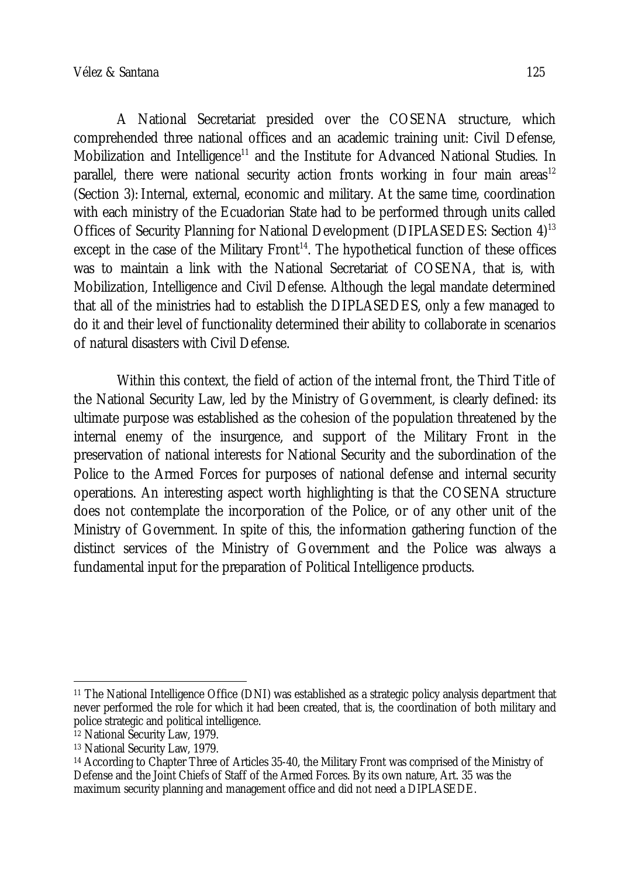A National Secretariat presided over the COSENA structure, which comprehended three national offices and an academic training unit: Civil Defense, Mobilization and Intelligence<sup>11</sup> and the Institute for Advanced National Studies. In parallel, there were national security action fronts working in four main areas<sup>12</sup> (Section 3): Internal, external, economic and military. At the same time, coordination with each ministry of the Ecuadorian State had to be performed through units called Offices of Security Planning for National Development (DIPLASEDES: Section 4)<sup>13</sup> except in the case of the Military Front<sup>14</sup>. The hypothetical function of these offices was to maintain a link with the National Secretariat of COSENA, that is, with Mobilization, Intelligence and Civil Defense. Although the legal mandate determined that all of the ministries had to establish the DIPLASEDES, only a few managed to do it and their level of functionality determined their ability to collaborate in scenarios of natural disasters with Civil Defense.

Within this context, the field of action of the internal front, the Third Title of the National Security Law, led by the Ministry of Government, is clearly defined: its ultimate purpose was established as the cohesion of the population threatened by the internal enemy of the insurgence, and support of the Military Front in the preservation of national interests for National Security and the subordination of the Police to the Armed Forces for purposes of national defense and internal security operations. An interesting aspect worth highlighting is that the COSENA structure does not contemplate the incorporation of the Police, or of any other unit of the Ministry of Government. In spite of this, the information gathering function of the distinct services of the Ministry of Government and the Police was always a fundamental input for the preparation of Political Intelligence products.

 $\overline{a}$ <sup>11</sup> The National Intelligence Office (DNI) was established as a strategic policy analysis department that never performed the role for which it had been created, that is, the coordination of both military and police strategic and political intelligence.

<sup>12</sup> National Security Law, 1979.

<sup>13</sup> National Security Law, 1979.

<sup>14</sup> According to Chapter Three of Articles 35-40, the Military Front was comprised of the Ministry of Defense and the Joint Chiefs of Staff of the Armed Forces. By its own nature, Art. 35 was the maximum security planning and management office and did not need a DIPLASEDE.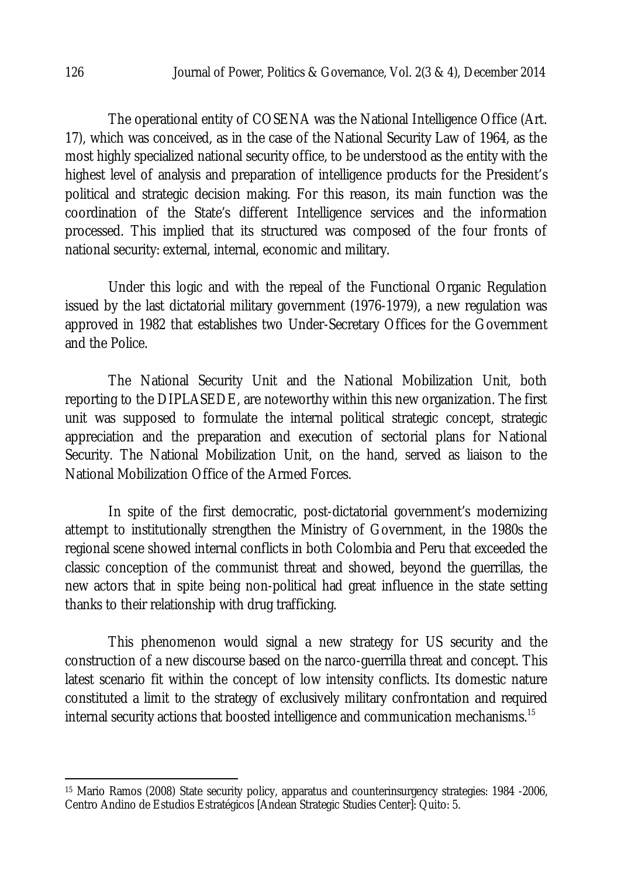The operational entity of COSENA was the National Intelligence Office (Art. 17), which was conceived, as in the case of the National Security Law of 1964, as the most highly specialized national security office, to be understood as the entity with the highest level of analysis and preparation of intelligence products for the President's political and strategic decision making. For this reason, its main function was the coordination of the State's different Intelligence services and the information processed. This implied that its structured was composed of the four fronts of national security: external, internal, economic and military.

Under this logic and with the repeal of the Functional Organic Regulation issued by the last dictatorial military government (1976-1979), a new regulation was approved in 1982 that establishes two Under-Secretary Offices for the Government and the Police.

The National Security Unit and the National Mobilization Unit, both reporting to the DIPLASEDE, are noteworthy within this new organization. The first unit was supposed to formulate the internal political strategic concept, strategic appreciation and the preparation and execution of sectorial plans for National Security. The National Mobilization Unit, on the hand, served as liaison to the National Mobilization Office of the Armed Forces.

In spite of the first democratic, post-dictatorial government's modernizing attempt to institutionally strengthen the Ministry of Government, in the 1980s the regional scene showed internal conflicts in both Colombia and Peru that exceeded the classic conception of the communist threat and showed, beyond the guerrillas, the new actors that in spite being non-political had great influence in the state setting thanks to their relationship with drug trafficking.

This phenomenon would signal a new strategy for US security and the construction of a new discourse based on the narco-guerrilla threat and concept. This latest scenario fit within the concept of low intensity conflicts. Its domestic nature constituted a limit to the strategy of exclusively military confrontation and required internal security actions that boosted intelligence and communication mechanisms.<sup>15</sup>

 $\overline{a}$ 

<sup>15</sup> Mario Ramos (2008) State security policy, apparatus and counterinsurgency strategies: 1984 -2006, Centro Andino de Estudios Estratégicos [Andean Strategic Studies Center]: Quito: 5.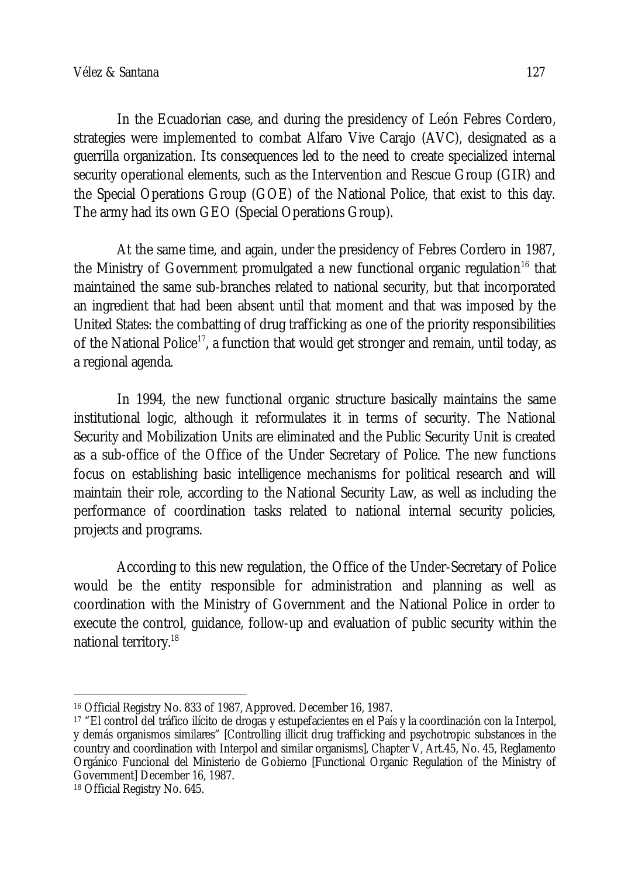In the Ecuadorian case, and during the presidency of León Febres Cordero, strategies were implemented to combat Alfaro Vive Carajo (AVC), designated as a guerrilla organization. Its consequences led to the need to create specialized internal security operational elements, such as the Intervention and Rescue Group (GIR) and the Special Operations Group (GOE) of the National Police, that exist to this day. The army had its own GEO (Special Operations Group).

At the same time, and again, under the presidency of Febres Cordero in 1987, the Ministry of Government promulgated a new functional organic regulation<sup>16</sup> that maintained the same sub-branches related to national security, but that incorporated an ingredient that had been absent until that moment and that was imposed by the United States: the combatting of drug trafficking as one of the priority responsibilities of the National Police<sup>17</sup>, a function that would get stronger and remain, until today, as a regional agenda.

In 1994, the new functional organic structure basically maintains the same institutional logic, although it reformulates it in terms of security. The National Security and Mobilization Units are eliminated and the Public Security Unit is created as a sub-office of the Office of the Under Secretary of Police. The new functions focus on establishing basic intelligence mechanisms for political research and will maintain their role, according to the National Security Law, as well as including the performance of coordination tasks related to national internal security policies, projects and programs.

According to this new regulation, the Office of the Under-Secretary of Police would be the entity responsible for administration and planning as well as coordination with the Ministry of Government and the National Police in order to execute the control, guidance, follow-up and evaluation of public security within the national territory.<sup>18</sup>

 $\overline{a}$ <sup>16</sup> Official Registry No. 833 of 1987, Approved. December 16, 1987.

<sup>17</sup> "El control del tráfico ilícito de drogas y estupefacientes en el País y la coordinación con la Interpol, y demás organismos similares" [Controlling illicit drug trafficking and psychotropic substances in the country and coordination with Interpol and similar organisms], Chapter V, Art.45, No. 45, Reglamento Orgánico Funcional del Ministerio de Gobierno [Functional Organic Regulation of the Ministry of Government] December 16, 1987.

<sup>18</sup> Official Registry No. 645.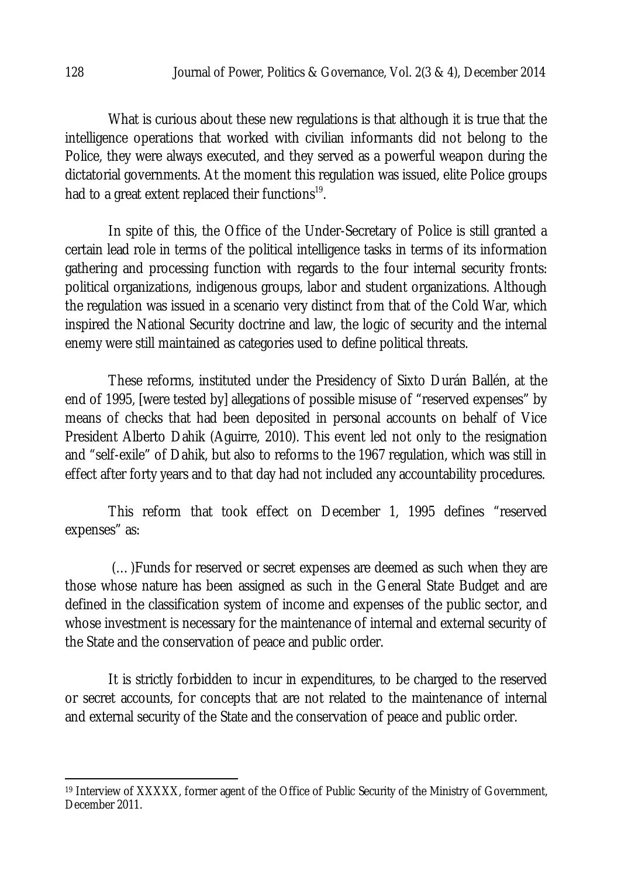What is curious about these new regulations is that although it is true that the intelligence operations that worked with civilian informants did not belong to the Police, they were always executed, and they served as a powerful weapon during the dictatorial governments. At the moment this regulation was issued, elite Police groups had to a great extent replaced their functions $^{19}$ .

In spite of this, the Office of the Under-Secretary of Police is still granted a certain lead role in terms of the political intelligence tasks in terms of its information gathering and processing function with regards to the four internal security fronts: political organizations, indigenous groups, labor and student organizations. Although the regulation was issued in a scenario very distinct from that of the Cold War, which inspired the National Security doctrine and law, the logic of security and the internal enemy were still maintained as categories used to define political threats.

These reforms, instituted under the Presidency of Sixto Durán Ballén, at the end of 1995, [were tested by] allegations of possible misuse of "reserved expenses" by means of checks that had been deposited in personal accounts on behalf of Vice President Alberto Dahik (Aguirre, 2010). This event led not only to the resignation and "self-exile" of Dahik, but also to reforms to the 1967 regulation, which was still in effect after forty years and to that day had not included any accountability procedures.

This reform that took effect on December 1, 1995 defines "reserved expenses" as:

(…)Funds for reserved or secret expenses are deemed as such when they are those whose nature has been assigned as such in the General State Budget and are defined in the classification system of income and expenses of the public sector, and whose investment is necessary for the maintenance of internal and external security of the State and the conservation of peace and public order.

It is strictly forbidden to incur in expenditures, to be charged to the reserved or secret accounts, for concepts that are not related to the maintenance of internal and external security of the State and the conservation of peace and public order.

 $\overline{a}$ <sup>19</sup> Interview of XXXXX, former agent of the Office of Public Security of the Ministry of Government, December 2011.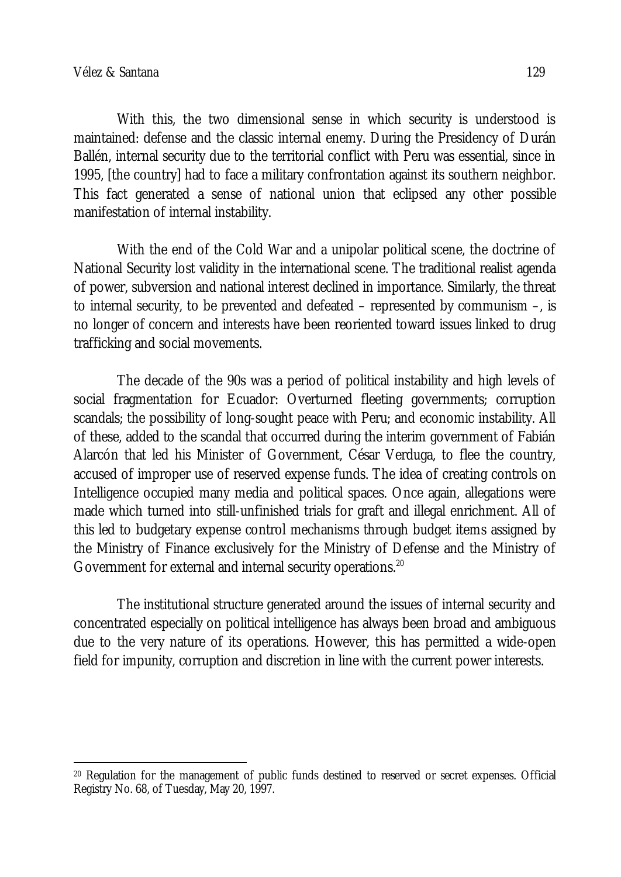With this, the two dimensional sense in which security is understood is maintained: defense and the classic internal enemy. During the Presidency of Durán Ballén, internal security due to the territorial conflict with Peru was essential, since in 1995, [the country] had to face a military confrontation against its southern neighbor. This fact generated a sense of national union that eclipsed any other possible manifestation of internal instability.

With the end of the Cold War and a unipolar political scene, the doctrine of National Security lost validity in the international scene. The traditional realist agenda of power, subversion and national interest declined in importance. Similarly, the threat to internal security, to be prevented and defeated – represented by communism –, is no longer of concern and interests have been reoriented toward issues linked to drug trafficking and social movements.

The decade of the 90s was a period of political instability and high levels of social fragmentation for Ecuador: Overturned fleeting governments; corruption scandals; the possibility of long-sought peace with Peru; and economic instability. All of these, added to the scandal that occurred during the interim government of Fabián Alarcón that led his Minister of Government, César Verduga, to flee the country, accused of improper use of reserved expense funds. The idea of creating controls on Intelligence occupied many media and political spaces. Once again, allegations were made which turned into still-unfinished trials for graft and illegal enrichment. All of this led to budgetary expense control mechanisms through budget items assigned by the Ministry of Finance exclusively for the Ministry of Defense and the Ministry of Government for external and internal security operations.<sup>20</sup>

The institutional structure generated around the issues of internal security and concentrated especially on political intelligence has always been broad and ambiguous due to the very nature of its operations. However, this has permitted a wide-open field for impunity, corruption and discretion in line with the current power interests.

 $\overline{a}$ <sup>20</sup> Regulation for the management of public funds destined to reserved or secret expenses. Official Registry No. 68, of Tuesday, May 20, 1997.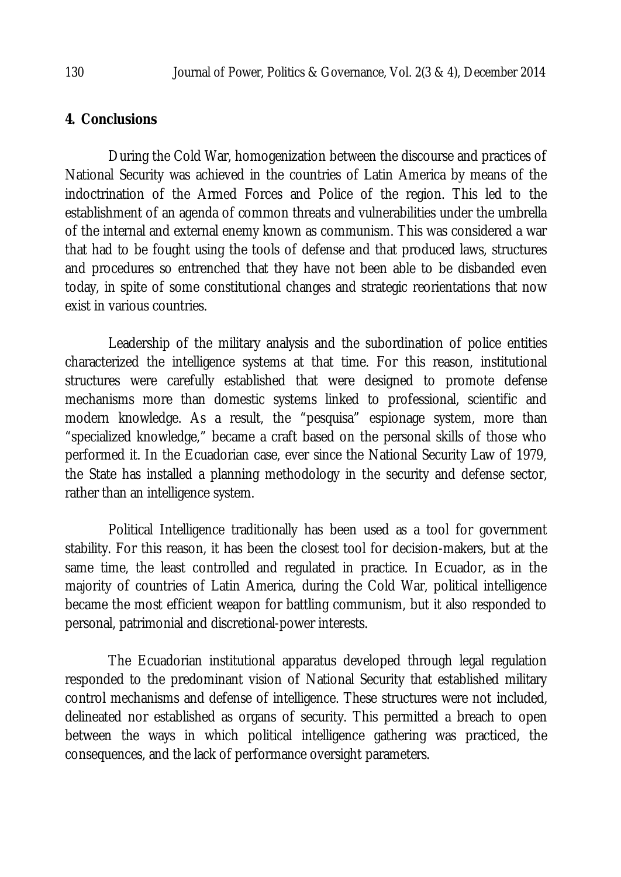### **4. Conclusions**

During the Cold War, homogenization between the discourse and practices of National Security was achieved in the countries of Latin America by means of the indoctrination of the Armed Forces and Police of the region. This led to the establishment of an agenda of common threats and vulnerabilities under the umbrella of the internal and external enemy known as communism. This was considered a war that had to be fought using the tools of defense and that produced laws, structures and procedures so entrenched that they have not been able to be disbanded even today, in spite of some constitutional changes and strategic reorientations that now exist in various countries.

Leadership of the military analysis and the subordination of police entities characterized the intelligence systems at that time. For this reason, institutional structures were carefully established that were designed to promote defense mechanisms more than domestic systems linked to professional, scientific and modern knowledge. As a result, the "pesquisa" espionage system, more than "specialized knowledge," became a craft based on the personal skills of those who performed it. In the Ecuadorian case, ever since the National Security Law of 1979, the State has installed a planning methodology in the security and defense sector, rather than an intelligence system.

Political Intelligence traditionally has been used as a tool for government stability. For this reason, it has been the closest tool for decision-makers, but at the same time, the least controlled and regulated in practice. In Ecuador, as in the majority of countries of Latin America, during the Cold War, political intelligence became the most efficient weapon for battling communism, but it also responded to personal, patrimonial and discretional-power interests.

The Ecuadorian institutional apparatus developed through legal regulation responded to the predominant vision of National Security that established military control mechanisms and defense of intelligence. These structures were not included, delineated nor established as organs of security. This permitted a breach to open between the ways in which political intelligence gathering was practiced, the consequences, and the lack of performance oversight parameters.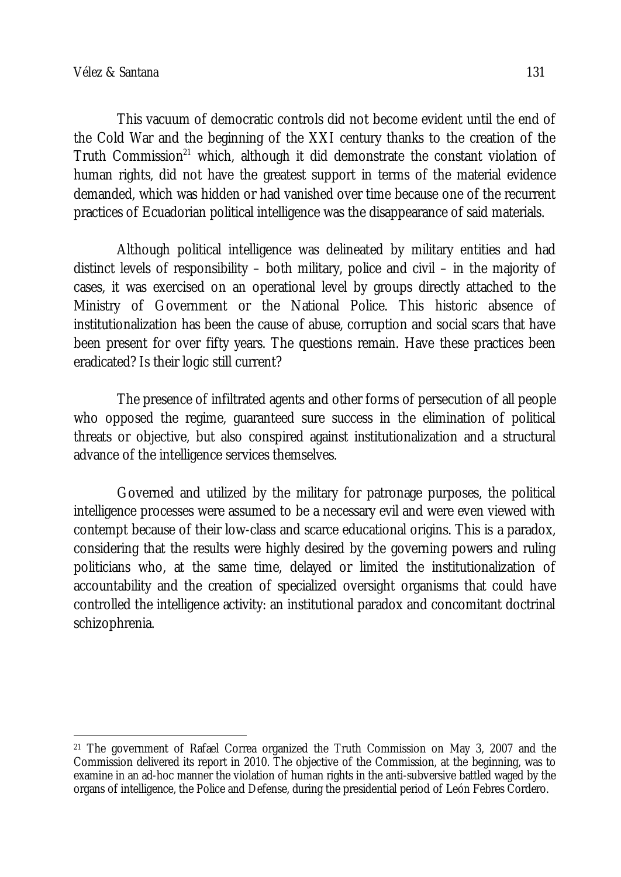This vacuum of democratic controls did not become evident until the end of the Cold War and the beginning of the XXI century thanks to the creation of the Truth Commission<sup>21</sup> which, although it did demonstrate the constant violation of human rights, did not have the greatest support in terms of the material evidence demanded, which was hidden or had vanished over time because one of the recurrent practices of Ecuadorian political intelligence was the disappearance of said materials.

Although political intelligence was delineated by military entities and had distinct levels of responsibility – both military, police and civil – in the majority of cases, it was exercised on an operational level by groups directly attached to the Ministry of Government or the National Police. This historic absence of institutionalization has been the cause of abuse, corruption and social scars that have been present for over fifty years. The questions remain. Have these practices been eradicated? Is their logic still current?

The presence of infiltrated agents and other forms of persecution of all people who opposed the regime, guaranteed sure success in the elimination of political threats or objective, but also conspired against institutionalization and a structural advance of the intelligence services themselves.

Governed and utilized by the military for patronage purposes, the political intelligence processes were assumed to be a necessary evil and were even viewed with contempt because of their low-class and scarce educational origins. This is a paradox, considering that the results were highly desired by the governing powers and ruling politicians who, at the same time, delayed or limited the institutionalization of accountability and the creation of specialized oversight organisms that could have controlled the intelligence activity: an institutional paradox and concomitant doctrinal schizophrenia.

 $\overline{\phantom{a}}$ <sup>21</sup> The government of Rafael Correa organized the Truth Commission on May 3, 2007 and the Commission delivered its report in 2010. The objective of the Commission, at the beginning, was to examine in an ad-hoc manner the violation of human rights in the anti-subversive battled waged by the organs of intelligence, the Police and Defense, during the presidential period of León Febres Cordero.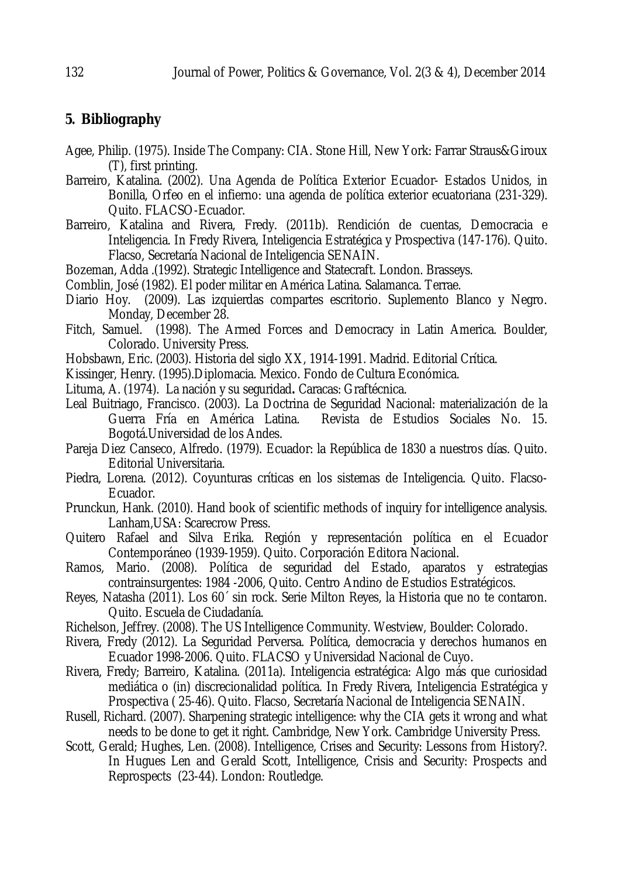### **5. Bibliography**

- Agee, Philip. (1975). Inside The Company: CIA. Stone Hill, New York: Farrar Straus&Giroux (T), first printing.
- Barreiro, Katalina. (2002). Una Agenda de Política Exterior Ecuador- Estados Unidos, in Bonilla, Orfeo en el infierno: una agenda de política exterior ecuatoriana (231-329). Quito. FLACSO-Ecuador.
- Barreiro, Katalina and Rivera, Fredy. (2011b). Rendición de cuentas, Democracia e Inteligencia. In Fredy Rivera, Inteligencia Estratégica y Prospectiva (147-176). Quito. Flacso, Secretaría Nacional de Inteligencia SENAIN.
- Bozeman, Adda .(1992). Strategic Intelligence and Statecraft. London. Brasseys.
- Comblin, José (1982). El poder militar en América Latina. Salamanca. Terrae.
- Diario Hoy. (2009). Las izquierdas compartes escritorio. Suplemento Blanco y Negro. Monday, December 28.
- Fitch, Samuel. (1998). The Armed Forces and Democracy in Latin America. Boulder, Colorado. University Press.
- Hobsbawn, Eric. (2003). Historia del siglo XX, 1914-1991. Madrid. Editorial Crítica.
- Kissinger, Henry. (1995).Diplomacia. Mexico. Fondo de Cultura Económica.
- Lituma, A. (1974). La nación y su seguridad**.** Caracas: Graftécnica.
- Leal Buitriago, Francisco. (2003). La Doctrina de Seguridad Nacional: materialización de la Guerra Fría en América Latina. Revista de Estudios Sociales No. 15. Bogotá.Universidad de los Andes.
- Pareja Diez Canseco, Alfredo. (1979). Ecuador: la República de 1830 a nuestros días. Quito. Editorial Universitaria.
- Piedra, Lorena. (2012). Coyunturas críticas en los sistemas de Inteligencia. Quito. Flacso-Ecuador.
- Prunckun, Hank. (2010). Hand book of scientific methods of inquiry for intelligence analysis. Lanham,USA: Scarecrow Press.
- Quitero Rafael and Silva Erika. Región y representación política en el Ecuador Contemporáneo (1939-1959). Quito. Corporación Editora Nacional.
- Ramos, Mario. (2008). Política de seguridad del Estado, aparatos y estrategias contrainsurgentes: 1984 -2006, Quito. Centro Andino de Estudios Estratégicos.
- Reyes, Natasha (2011). Los 60´ sin rock. Serie Milton Reyes, la Historia que no te contaron. Quito. Escuela de Ciudadanía.
- Richelson, Jeffrey. (2008). The US Intelligence Community. Westview, Boulder: Colorado.
- Rivera, Fredy (2012). La Seguridad Perversa. Política, democracia y derechos humanos en Ecuador 1998-2006. Quito. FLACSO y Universidad Nacional de Cuyo.
- Rivera, Fredy; Barreiro, Katalina. (2011a). Inteligencia estratégica: Algo más que curiosidad mediática o (in) discrecionalidad política. In Fredy Rivera, Inteligencia Estratégica y Prospectiva ( 25-46). Quito. Flacso, Secretaría Nacional de Inteligencia SENAIN.
- Rusell, Richard. (2007). Sharpening strategic intelligence: why the CIA gets it wrong and what needs to be done to get it right. Cambridge, New York. Cambridge University Press.
- Scott, Gerald; Hughes, Len. (2008). Intelligence, Crises and Security: Lessons from History?. In Hugues Len and Gerald Scott, Intelligence, Crisis and Security: Prospects and Reprospects (23-44). London: Routledge.